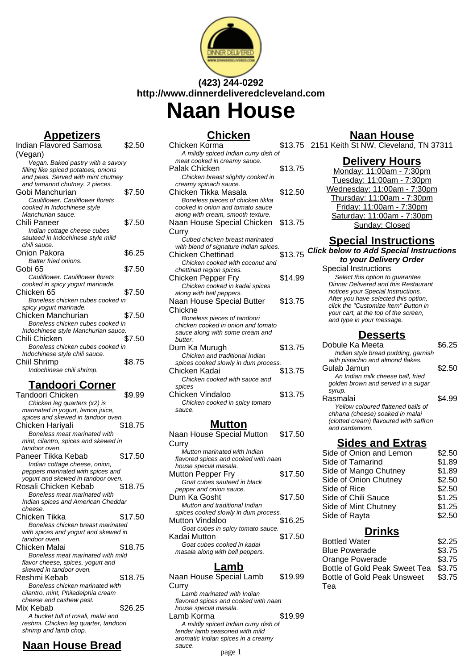

## **(423) 244-0292 http://www.dinnerdeliveredcleveland.com Naan House**

**Chicken**

| $  -$<br>-                           |        |
|--------------------------------------|--------|
| Indian Flavored Samosa               | \$2.50 |
| (Vegan)                              |        |
| Vegan. Baked pastry with a savory    |        |
| filling like spiced potatoes, onions |        |
| and peas. Served with mint chutney   |        |
| and tamarind chutney. 2 pieces.      |        |
| Gobi Manchurian                      | \$7.50 |
| Cauliflower, Cauliflower florets     |        |
| cooked in Indochinese style          |        |
| Manchurian sauce.                    |        |
| Chili Paneer                         | \$7.50 |
| Indian cottage cheese cubes          |        |
| sauteed in Indochinese style mild    |        |
| chili sauce.                         |        |
| Onion Pakora                         | \$6.25 |
| Batter fried onions.                 |        |
| Gobi 65                              | \$7.50 |
| Cauliflower, Cauliflower florets     |        |
| cooked in spicy yogurt marinade.     |        |
| Chicken 65                           | \$7.50 |
| Boneless chicken cubes cooked in     |        |
| spicy yogurt marinade.               |        |
| Chicken Manchurian                   | \$7.50 |
| Boneless chicken cubes cooked in     |        |
| Indochinese style Manchurian sauce.  |        |
| Chili Chicken                        | \$7.50 |
| Boneless chicken cubes cooked in     |        |
| Indochinese style chili sauce.       |        |
| Chiil Shrimp                         | \$8.75 |
| Indochinese chili shrimp.            |        |
|                                      |        |

**Appetizers**

### **Tandoori Corner**

| Tandoori Chicken                      | \$9.99  |
|---------------------------------------|---------|
| Chicken leg quarters (x2) is          |         |
| marinated in yogurt, lemon juice,     |         |
| spices and skewed in tandoor oven.    |         |
| Chicken Hariyali                      | \$18.75 |
| Boneless meat marinated with          |         |
| mint, cilantro, spices and skewed in  |         |
| tandoor oven.                         |         |
| Paneer Tikka Kebab                    | \$17.50 |
| Indian cottage cheese, onion,         |         |
| peppers marinated with spices and     |         |
| yogurt and skewed in tandoor oven.    |         |
| Rosali Chicken Kebab                  | \$18.75 |
| Boneless meat marinated with          |         |
| Indian spices and American Cheddar    |         |
| cheese.                               |         |
| Chicken Tikka                         | \$17.50 |
| Boneless chicken breast marinated     |         |
| with spices and yogurt and skewed in  |         |
| tandoor oven.                         |         |
| Chicken Malai                         | \$18.75 |
| Boneless meat marinated with mild     |         |
| flavor cheese, spices, yogurt and     |         |
| skewed in tandoor oven.               |         |
| Reshmi Kebab                          | \$18.75 |
| Boneless chicken marinated with       |         |
| cilantro, mint, Philadelphia cream    |         |
| cheese and cashew past.               |         |
| Mix Kebab                             | \$26.25 |
| A bucket full of rosali, malai and    |         |
| reshmi. Chicken leg quarter, tandoori |         |
| shrimp and lamb chop.                 |         |

## **Naan House Bread**

| <b>JIIILREII</b>                       |         |  |
|----------------------------------------|---------|--|
| Chicken Korma                          | \$13.75 |  |
| A mildly spiced Indian curry dish of   |         |  |
| meat cooked in creamy sauce.           |         |  |
| Palak Chicken                          | \$13.75 |  |
| Chicken breast slightly cooked in      |         |  |
| creamy spinach sauce.                  |         |  |
| Chicken Tikka Masala                   | \$12.50 |  |
| Boneless pieces of chicken tikka       |         |  |
| cooked in onion and tomato sauce       |         |  |
| along with cream, smooth texture.      |         |  |
| Naan House Special Chicken             | \$13.75 |  |
| Curry                                  |         |  |
| Cubed chicken breast marinated         |         |  |
| with blend of signature Indian spices. |         |  |
| Chicken Chettinad                      | \$13.75 |  |
| Chicken cooked with coconut and        |         |  |
| chettinad region spices.               |         |  |
| Chicken Pepper Fry                     | \$14.99 |  |
| Chicken cooked in kadai spices         |         |  |
| along with bell peppers.               |         |  |
| Naan House Special Butter              | \$13.75 |  |
| Chickne                                |         |  |
| Boneless pieces of tandoori            |         |  |
| chicken cooked in onion and tomato     |         |  |
| sauce along with some cream and        |         |  |
| butter.                                |         |  |
| Dum Ka Murugh                          | \$13.75 |  |
| Chicken and traditional Indian         |         |  |
| spices cooked slowly in dum process.   |         |  |
| Chicken Kadai                          | \$13.75 |  |
| Chicken cooked with sauce and          |         |  |
| spices                                 |         |  |
| Chicken Vindaloo                       | \$13.75 |  |
| Chicken cooked in spicy tomato         |         |  |
| sauce.                                 |         |  |
|                                        |         |  |

#### **Mutton**

| Naan House Special Mutton            | \$17.50 |
|--------------------------------------|---------|
| Curry                                |         |
| Mutton marinated with Indian         |         |
| flavored spices and cooked with naan |         |
| house special masala.                |         |
| Mutton Pepper Fry                    | \$17.50 |
| Goat cubes sauteed in black          |         |
| pepper and onion sauce.              |         |
| Dum Ka Gosht                         | \$17.50 |
| Mutton and traditional Indian        |         |
| spices cooked slowly in dum process. |         |
| Mutton Vindaloo                      | \$16.25 |
| Goat cubes in spicy tomato sauce.    |         |
| Kadai Mutton                         | \$17.50 |
| Goat cubes cooked in kadai           |         |
| masala along with bell peppers.      |         |
|                                      |         |

#### **Lamb**

Naan House Special Lamb **Curry** \$19.99 Lamb marinated with Indian flavored spices and cooked with naan house special masala. Lamb Korma \$19.99 A mildly spiced Indian curry dish of tender lamb seasoned with mild aromatic Indian spices in a creamy sauce.

page 1

#### **Naan House**

2151 Keith St NW, Cleveland, TN 37311

#### **Delivery Hours**

Monday: 11:00am - 7:30pm Tuesday: 11:00am - 7:30pm Wednesday: 11:00am - 7:30pm Thursday: 11:00am - 7:30pm Friday: 11:00am - 7:30pm Saturday: 11:00am - 7:30pm Sunday: Closed

## **Special Instructions**

### **Click below to Add Special Instructions**

**to your Delivery Order** Special Instructions Select this option to quarantee Dinner Delivered and this Restaurant notices your Special Instructions. After you have selected this option, click the "Customize Item" Button in your cart, at the top of the screen, and type in your message.

**Desserts**

| Dobule Ka Meeta                        | SG 25  |
|----------------------------------------|--------|
| Indian style bread pudding, garnish    |        |
| with pistachio and almond flakes.      |        |
| Gulab Jamun                            | \$2.50 |
| An Indian milk cheese ball, fried      |        |
| golden brown and served in a sugar     |        |
| syrup.                                 |        |
| Rasmalai                               | S4 99  |
| Yellow coloured flattened balls of     |        |
| chhana (cheese) soaked in malai        |        |
| (clotted cream) flavoured with saffron |        |
| and cardamom.                          |        |
|                                        |        |

### **Sides and Extras**

| Side of Onion and Lemon | \$2.50 |
|-------------------------|--------|
| Side of Tamarind        | \$1.89 |
| Side of Mango Chutney   | \$1.89 |
| Side of Onion Chutney   | \$2.50 |
| Side of Rice            | \$2.50 |
| Side of Chili Sauce     | \$1.25 |
| Side of Mint Chutney    | \$1.25 |
| Side of Rayta           | \$2.50 |
|                         |        |

#### **Drinks**

| <b>Bottled Water</b>          | \$2.25 |
|-------------------------------|--------|
| <b>Blue Powerade</b>          | \$3.75 |
| Orange Powerade               | \$3.75 |
| Bottle of Gold Peak Sweet Tea | \$3.75 |
| Bottle of Gold Peak Unsweet   | \$3.75 |
| Tea                           |        |
|                               |        |